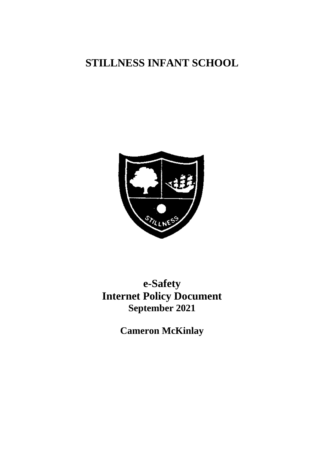# **STILLNESS INFANT SCHOOL**



# **e-Safety Internet Policy Document September 2021**

**Cameron McKinlay**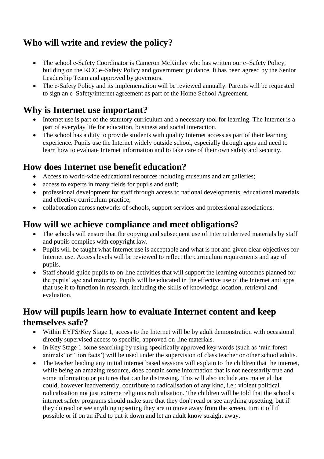## **Who will write and review the policy?**

- The school e-Safety Coordinator is Cameron McKinlay who has written our e–Safety Policy, building on the KCC e–Safety Policy and government guidance. It has been agreed by the Senior Leadership Team and approved by governors.
- The e-Safety Policy and its implementation will be reviewed annually. Parents will be requested to sign an e–Safety/internet agreement as part of the Home School Agreement.

### **Why is Internet use important?**

- Internet use is part of the statutory curriculum and a necessary tool for learning. The Internet is a part of everyday life for education, business and social interaction.
- The school has a duty to provide students with quality Internet access as part of their learning experience. Pupils use the Internet widely outside school, especially through apps and need to learn how to evaluate Internet information and to take care of their own safety and security.

## **How does Internet use benefit education?**

- Access to world-wide educational resources including museums and art galleries;
- access to experts in many fields for pupils and staff;
- professional development for staff through access to national developments, educational materials and effective curriculum practice;
- collaboration across networks of schools, support services and professional associations.

#### **How will we achieve compliance and meet obligations?**

- The schools will ensure that the copying and subsequent use of Internet derived materials by staff and pupils complies with copyright law.
- Pupils will be taught what Internet use is acceptable and what is not and given clear objectives for Internet use. Access levels will be reviewed to reflect the curriculum requirements and age of pupils.
- Staff should guide pupils to on-line activities that will support the learning outcomes planned for the pupils' age and maturity. Pupils will be educated in the effective use of the Internet and apps that use it to function in research, including the skills of knowledge location, retrieval and evaluation.

#### **How will pupils learn how to evaluate Internet content and keep themselves safe?**

- Within EYFS/Key Stage 1, access to the Internet will be by adult demonstration with occasional directly supervised access to specific, approved on-line materials.
- In Key Stage 1 some searching by using specifically approved key words (such as 'rain forest animals' or 'lion facts') will be used under the supervision of class teacher or other school adults.
- The teacher leading any initial internet based sessions will explain to the children that the internet, while being an amazing resource, does contain some information that is not necessarily true and some information or pictures that can be distressing. This will also include any material that could, however inadvertently, contribute to radicalisation of any kind, i.e.; violent political radicalisation not just extreme religious radicalisation. The children will be told that the school's internet safety programs should make sure that they don't read or see anything upsetting, but if they do read or see anything upsetting they are to move away from the screen, turn it off if possible or if on an iPad to put it down and let an adult know straight away.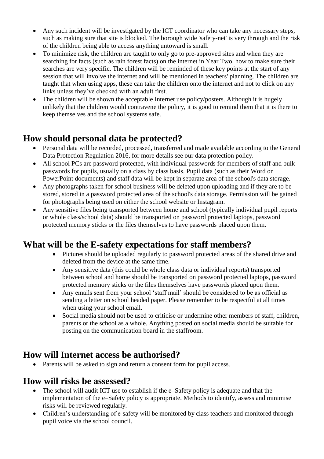- Any such incident will be investigated by the ICT coordinator who can take any necessary steps, such as making sure that site is blocked. The borough wide 'safety-net' is very through and the risk of the children being able to access anything untoward is small.
- To minimize risk, the children are taught to only go to pre-approved sites and when they are searching for facts (such as rain forest facts) on the internet in Year Two, how to make sure their searches are very specific. The children will be reminded of these key points at the start of any session that will involve the internet and will be mentioned in teachers' planning. The children are taught that when using apps, these can take the children onto the internet and not to click on any links unless they've checked with an adult first.
- The children will be shown the acceptable Internet use policy/posters. Although it is hugely unlikely that the children would contravene the policy, it is good to remind them that it is there to keep themselves and the school systems safe.

#### **How should personal data be protected?**

- Personal data will be recorded, processed, transferred and made available according to the General Data Protection Regulation 2016, for more details see our data protection policy.
- All school PCs are password protected, with individual passwords for members of staff and bulk passwords for pupils, usually on a class by class basis. Pupil data (such as their Word or PowerPoint documents) and staff data will be kept in separate area of the school's data storage.
- Any photographs taken for school business will be deleted upon uploading and if they are to be stored, stored in a password protected area of the school's data storage. Permission will be gained for photographs being used on either the school website or Instagram.
- Any sensitive files being transported between home and school (typically individual pupil reports or whole class/school data) should be transported on password protected laptops, password protected memory sticks or the files themselves to have passwords placed upon them.

#### **What will be the E-safety expectations for staff members?**

- Pictures should be uploaded regularly to password protected areas of the shared drive and deleted from the device at the same time.
- Any sensitive data (this could be whole class data or individual reports) transported between school and home should be transported on password protected laptops, password protected memory sticks or the files themselves have passwords placed upon them.
- Any emails sent from your school 'staff mail' should be considered to be as official as sending a letter on school headed paper. Please remember to be respectful at all times when using your school email.
- Social media should not be used to criticise or undermine other members of staff, children, parents or the school as a whole. Anything posted on social media should be suitable for posting on the communication board in the staffroom.

#### **How will Internet access be authorised?**

• Parents will be asked to sign and return a consent form for pupil access.

#### **How will risks be assessed?**

- The school will audit ICT use to establish if the e–Safety policy is adequate and that the implementation of the e–Safety policy is appropriate. Methods to identify, assess and minimise risks will be reviewed regularly.
- Children's understanding of e-safety will be monitored by class teachers and monitored through pupil voice via the school council.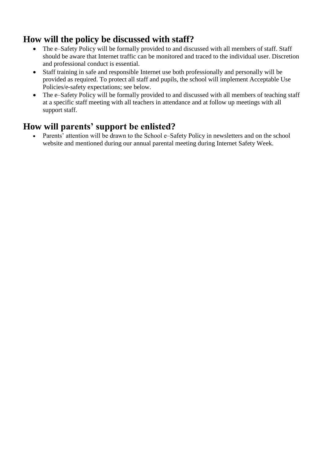#### **How will the policy be discussed with staff?**

- The e–Safety Policy will be formally provided to and discussed with all members of staff. Staff should be aware that Internet traffic can be monitored and traced to the individual user. Discretion and professional conduct is essential.
- Staff training in safe and responsible Internet use both professionally and personally will be provided as required. To protect all staff and pupils, the school will implement Acceptable Use Policies/e-safety expectations; see below.
- The e–Safety Policy will be formally provided to and discussed with all members of teaching staff at a specific staff meeting with all teachers in attendance and at follow up meetings with all support staff.

## **How will parents' support be enlisted?**

Parents' attention will be drawn to the School e–Safety Policy in newsletters and on the school website and mentioned during our annual parental meeting during Internet Safety Week.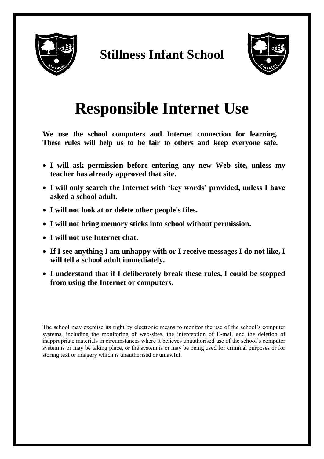

# **Stillness Infant School**



# **Responsible Internet Use**

**We use the school computers and Internet connection for learning. These rules will help us to be fair to others and keep everyone safe.**

- **I will ask permission before entering any new Web site, unless my teacher has already approved that site.**
- **I will only search the Internet with 'key words' provided, unless I have asked a school adult.**
- **I will not look at or delete other people's files.**
- **I will not bring memory sticks into school without permission.**
- **I will not use Internet chat.**
- **If I see anything I am unhappy with or I receive messages I do not like, I will tell a school adult immediately.**
- **I understand that if I deliberately break these rules, I could be stopped from using the Internet or computers.**

The school may exercise its right by electronic means to monitor the use of the school's computer systems, including the monitoring of web-sites, the interception of E-mail and the deletion of inappropriate materials in circumstances where it believes unauthorised use of the school's computer system is or may be taking place, or the system is or may be being used for criminal purposes or for storing text or imagery which is unauthorised or unlawful.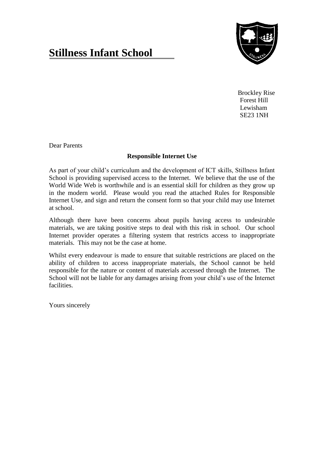# **Stillness Infant School**



Brockley Rise Forest Hill Lewisham SE23 1NH

Dear Parents

#### **Responsible Internet Use**

As part of your child's curriculum and the development of ICT skills, Stillness Infant School is providing supervised access to the Internet. We believe that the use of the World Wide Web is worthwhile and is an essential skill for children as they grow up in the modern world. Please would you read the attached Rules for Responsible Internet Use, and sign and return the consent form so that your child may use Internet at school.

Although there have been concerns about pupils having access to undesirable materials, we are taking positive steps to deal with this risk in school. Our school Internet provider operates a filtering system that restricts access to inappropriate materials. This may not be the case at home.

Whilst every endeavour is made to ensure that suitable restrictions are placed on the ability of children to access inappropriate materials, the School cannot be held responsible for the nature or content of materials accessed through the Internet. The School will not be liable for any damages arising from your child's use of the Internet facilities.

Yours sincerely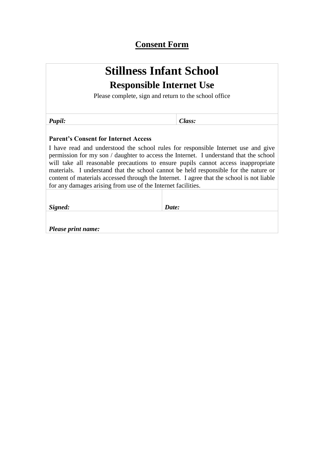#### **Consent Form**

# **Stillness Infant School Responsible Internet Use**

Please complete, sign and return to the school office

*Pupil: Class:*

#### **Parent's Consent for Internet Access**

I have read and understood the school rules for responsible Internet use and give permission for my son / daughter to access the Internet. I understand that the school will take all reasonable precautions to ensure pupils cannot access inappropriate materials. I understand that the school cannot be held responsible for the nature or content of materials accessed through the Internet. I agree that the school is not liable for any damages arising from use of the Internet facilities.

*Signed: Date:* 

*Please print name:*